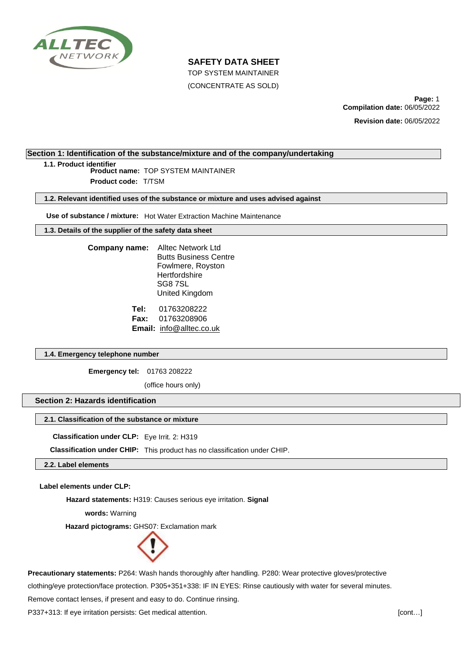

TOP SYSTEM MAINTAINER

(CONCENTRATE AS SOLD)

**Page:** 1 **Compilation date:** 06/05/2022

**Revision date:** 06/05/2022

# **Section 1: Identification of the substance/mixture and of the company/undertaking**

**1.1. Product identifier**

**Product name:** TOP SYSTEM MAINTAINER **Product code:** T/TSM

**1.2. Relevant identified uses of the substance or mixture and uses advised against**

**Use of substance / mixture:** Hot Water Extraction Machine Maintenance

**1.3. Details of the supplier of the safety data sheet**

| Company name: | <b>Alltec Network Ltd</b>    |
|---------------|------------------------------|
|               | <b>Butts Business Centre</b> |
|               | Fowlmere, Royston            |
|               | Hertfordshire                |
|               | SG87SL                       |
|               | United Kingdom               |
|               |                              |

**Tel:** 01763208222 **Fax:** 01763208906 **Email:** info@alltec.co.uk

## **1.4. Emergency telephone number**

**Emergency tel:** 01763 208222

(office hours only)

# **Section 2: Hazards identification**

# **2.1. Classification of the substance or mixture**

**Classification under CLP:** Eye Irrit. 2: H319

**Classification under CHIP:** This product has no classification under CHIP.

**2.2. Label elements**

**Label elements under CLP:**

**Hazard statements:** H319: Causes serious eye irritation. **Signal** 

**words:** Warning

**Hazard pictograms:** GHS07: Exclamation mark



**Precautionary statements:** P264: Wash hands thoroughly after handling. P280: Wear protective gloves/protective

clothing/eye protection/face protection. P305+351+338: IF IN EYES: Rinse cautiously with water for several minutes.

Remove contact lenses, if present and easy to do. Continue rinsing.

P337+313: If eye irritation persists: Get medical attention. **[CONTERNATES 1999]** [cont...]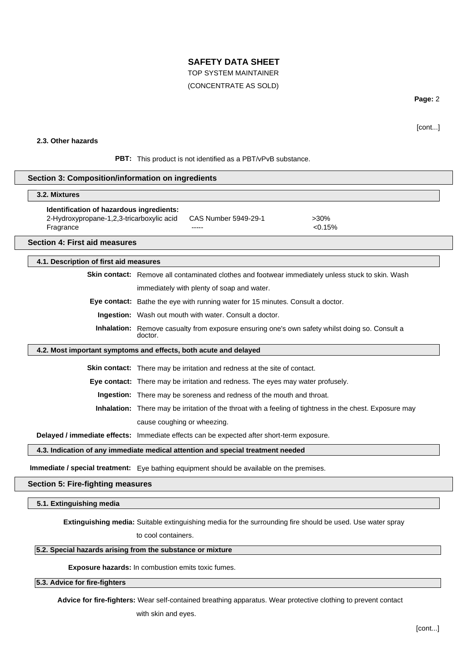## TOP SYSTEM MAINTAINER

## (CONCENTRATE AS SOLD)

**Page:** 2

[cont...]

# **2.3. Other hazards**

PBT: This product is not identified as a PBT/vPvB substance.

#### **Section 3: Composition/information on ingredients**

#### **. Mixtures 3.2**

| Identification of hazardous ingredients:  |                      |         |
|-------------------------------------------|----------------------|---------|
| 2-Hydroxypropane-1,2,3-tricarboxylic acid | CAS Number 5949-29-1 | $>30\%$ |
| Fragrance                                 | -----                | < 0.15% |

#### **Section 4: First aid measures**

#### **4.1. Description of first aid measures**

**Skin contact:** Remove all contaminated clothes and footwear immediately unless stuck to skin. Wash

immediately with plenty of soap and water.

**Eye contact:** Bathe the eye with running water for 15 minutes. Consult a doctor.

**Ingestion:** Wash out mouth with water. Consult a doctor.

**Inhalation:** Remove casualty from exposure ensuring one's own safety whilst doing so. Consult a doctor.

### **4.2. Most important symptoms and effects, both acute and delayed**

**Skin contact:** There may be irritation and redness at the site of contact.

**Eye contact:** There may be irritation and redness. The eyes may water profusely.

**Ingestion:** There may be soreness and redness of the mouth and throat.

**Inhalation:** There may be irritation of the throat with a feeling of tightness in the chest. Exposure may cause coughing or wheezing.

**Delayed / immediate effects:** Immediate effects can be expected after short-term exposure.

#### **4.3. Indication of any immediate medical attention and special treatment needed**

**Immediate / special treatment:** Eye bathing equipment should be available on the premises.

# **Section 5: Fire-fighting measures**

#### **5.1. Extinguishing media**

**Extinguishing media:** Suitable extinguishing media for the surrounding fire should be used. Use water spray

to cool containers.

# **5.2. Special hazards arising from the substance or mixture**

**Exposure hazards:** In combustion emits toxic fumes.

## **5.3. Advice for fire-fighters**

**Advice for fire-fighters:** Wear self-contained breathing apparatus. Wear protective clothing to prevent contact

with skin and eyes.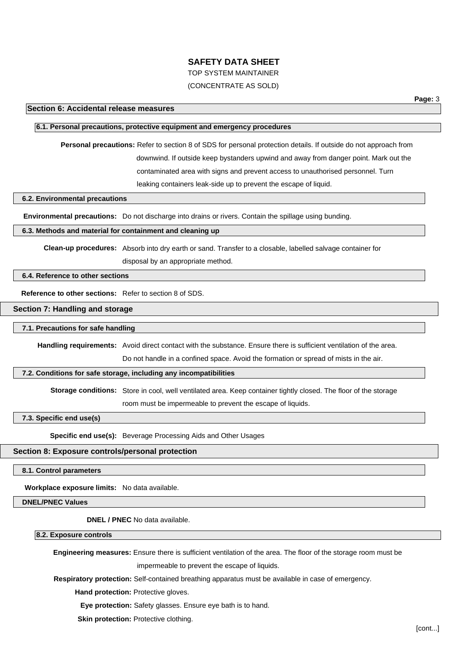TOP SYSTEM MAINTAINER

# (CONCENTRATE AS SOLD)

## **6.1. Personal precautions, protective equipment and emergency procedures**

**Personal precautions:** Refer to section 8 of SDS for personal protection details. If outside do not approach from downwind. If outside keep bystanders upwind and away from danger point. Mark out the contaminated area with signs and prevent access to unauthorised personnel. Turn leaking containers leak-side up to prevent the escape of liquid.

#### **6.2. Environmental precautions**

**Environmental precautions:** Do not discharge into drains or rivers. Contain the spillage using bunding.

#### **6.3. Methods and material for containment and cleaning up**

**Clean-up procedures:** Absorb into dry earth or sand. Transfer to a closable, labelled salvage container for disposal by an appropriate method.

#### **6.4. Reference to other sections**

**Reference to other sections:** Refer to section 8 of SDS.

#### **Section 7: Handling and storage**

#### **7.1. Precautions for safe handling**

**Handling requirements:** Avoid direct contact with the substance. Ensure there is sufficient ventilation of the area.

Do not handle in a confined space. Avoid the formation or spread of mists in the air.

## **7.2. Conditions for safe storage, including any incompatibilities**

**Storage conditions:** Store in cool, well ventilated area. Keep container tightly closed. The floor of the storage room must be impermeable to prevent the escape of liquids.

#### **7.3. Specific end use(s)**

**Specific end use(s):** Beverage Processing Aids and Other Usages

## **Section 8: Exposure controls/personal protection**

# **8.1. Control parameters**

**Workplace exposure limits:** No data available.

## **DNEL/PNEC Values**

**DNEL / PNEC** No data available.

**8.2. Exposure controls**

**Engineering measures:** Ensure there is sufficient ventilation of the area. The floor of the storage room must be

impermeable to prevent the escape of liquids.

**Respiratory protection:** Self-contained breathing apparatus must be available in case of emergency.

**Hand protection: Protective gloves.** 

**Eye protection:** Safety glasses. Ensure eye bath is to hand.

**Skin protection: Protective clothing.**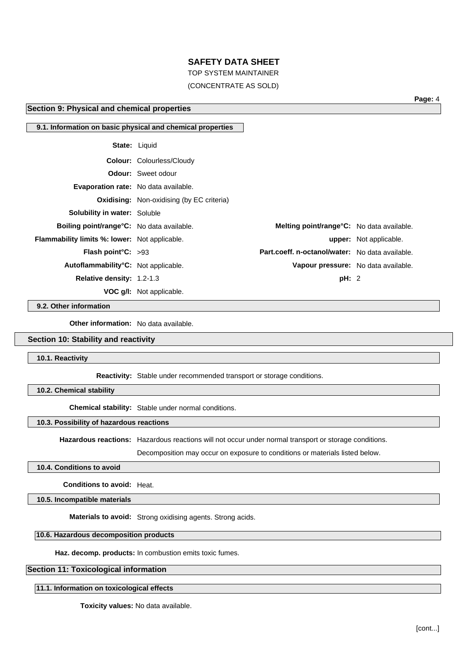TOP SYSTEM MAINTAINER

# (CONCENTRATE AS SOLD)

# **Section 9: Physical and chemical properties**

**Page:** 4

|                                                      | 9.1. Information on basic physical and chemical properties |                                                   |                               |
|------------------------------------------------------|------------------------------------------------------------|---------------------------------------------------|-------------------------------|
|                                                      | <b>State: Liquid</b>                                       |                                                   |                               |
|                                                      | <b>Colour: Colourless/Cloudy</b>                           |                                                   |                               |
|                                                      | <b>Odour:</b> Sweet odour                                  |                                                   |                               |
| Evaporation rate: No data available.                 |                                                            |                                                   |                               |
|                                                      | <b>Oxidising:</b> Non-oxidising (by EC criteria)           |                                                   |                               |
| <b>Solubility in water: Soluble</b>                  |                                                            |                                                   |                               |
| <b>Boiling point/range °C:</b> No data available.    |                                                            | <b>Melting point/range °C:</b> No data available. |                               |
| <b>Flammability limits %: lower:</b> Not applicable. |                                                            |                                                   | <b>upper:</b> Not applicable. |
| <b>Flash point °C:</b> $>93$                         |                                                            | Part.coeff. n-octanol/water: No data available.   |                               |
| Autoflammability°C: Not applicable.                  |                                                            | Vapour pressure: No data available.               |                               |
| <b>Relative density: 1.2-1.3</b>                     |                                                            | pH: 2                                             |                               |
|                                                      | <b>VOC g/I:</b> Not applicable.                            |                                                   |                               |

**9.2. Other information**

**Other information:** No data available.

#### **Section 10: Stability and reactivity**

**10.1. Reactivity**

**Reactivity:** Stable under recommended transport or storage conditions.

**10.2. Chemical stability**

**Chemical stability:** Stable under normal conditions.

#### **10.3. Possibility of hazardous reactions**

**Hazardous reactions:** Hazardous reactions will not occur under normal transport or storage conditions.

Decomposition may occur on exposure to conditions or materials listed below.

## **10.4. Conditions to avoid**

**Conditions to avoid:** Heat.

**10.5. Incompatible materials**

**Materials to avoid:** Strong oxidising agents. Strong acids.

#### **10.6. Hazardous decomposition products**

**Haz. decomp. products:** In combustion emits toxic fumes.

# **Section 11: Toxicological information**

**11.1. Information on toxicological effects**

**Toxicity values:** No data available.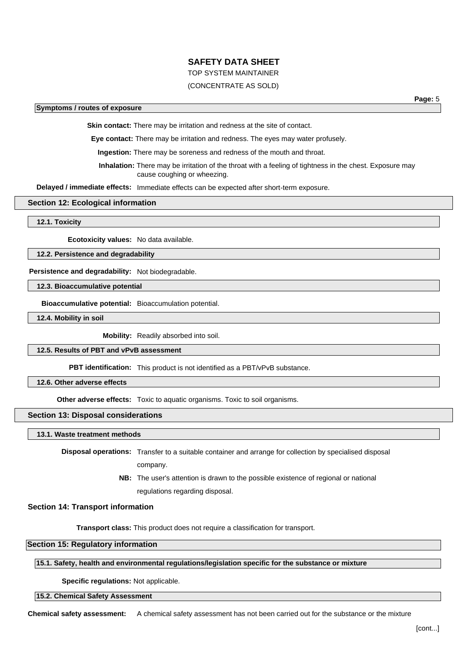# TOP SYSTEM MAINTAINER

# (CONCENTRATE AS SOLD)

#### **Symptoms / routes of exposure**

**Page:** 5

**Skin contact:** There may be irritation and redness at the site of contact.

**Eye contact:** There may be irritation and redness. The eyes may water profusely.

**Ingestion:** There may be soreness and redness of the mouth and throat.

**Inhalation:** There may be irritation of the throat with a feeling of tightness in the chest. Exposure may cause coughing or wheezing.

**Delayed / immediate effects:** Immediate effects can be expected after short-term exposure.

#### **Section 12: Ecological information**

**12.1. Toxicity**

**Ecotoxicity values:** No data available.

**12.2. Persistence and degradability**

**Persistence and degradability:** Not biodegradable.

**12.3. Bioaccumulative potential**

**Bioaccumulative potential:** Bioaccumulation potential.

**12.4. Mobility in soil**

**Mobility:** Readily absorbed into soil.

**12.5. Results of PBT and vPvB assessment**

**PBT identification:** This product is not identified as a PBT/vPvB substance.

**12.6. Other adverse effects**

**Other adverse effects:** Toxic to aquatic organisms. Toxic to soil organisms.

#### **Section 13: Disposal considerations**

**13.1. Waste treatment methods**

**Disposal operations:** Transfer to a suitable container and arrange for collection by specialised disposal

company.

**NB:** The user's attention is drawn to the possible existence of regional or national regulations regarding disposal.

**Section 14: Transport information**

**Transport class:** This product does not require a classification for transport.

**Section 15: Regulatory information**

**15.1. Safety, health and environmental regulations/legislation specific for the substance or mixture**

**Specific regulations:** Not applicable.

#### **15.2. Chemical Safety Assessment**

**Chemical safety assessment:** A chemical safety assessment has not been carried out for the substance or the mixture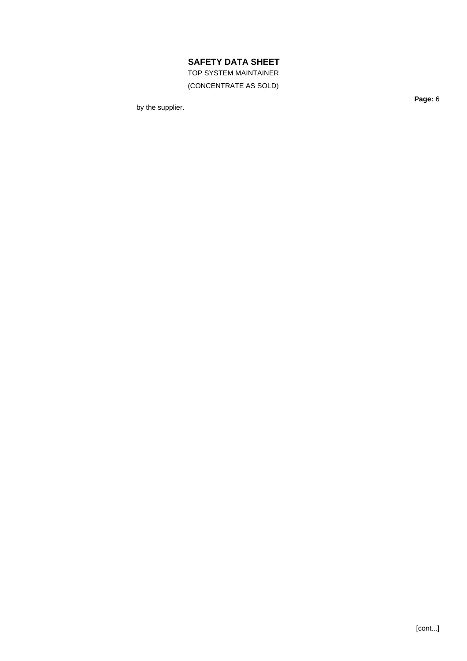TOP SYSTEM MAINTAINER

(CONCENTRATE AS SOLD)

by the supplier.

**Page:** 6